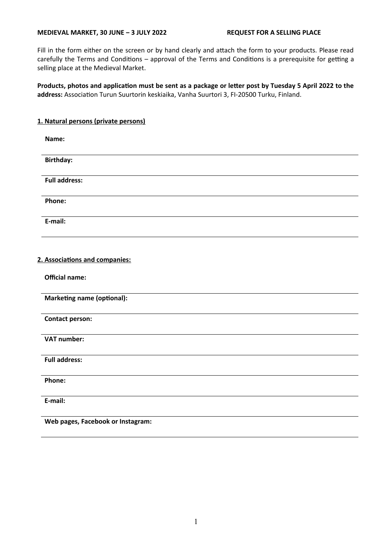Fill in the form either on the screen or by hand clearly and attach the form to your products. Please read carefully the Terms and Conditions – approval of the Terms and Conditions is a prerequisite for getting a selling place at the Medieval Market.

**Products, photos and application must be sent as a package or letter post by Tuesday 5 April 2022 to the address:** Association Turun Suurtorin keskiaika, Vanha Suurtori 3, FI-20500 Turku, Finland.

## **1. Natural persons (private persons)**

| Name:                |  |  |  |
|----------------------|--|--|--|
| <b>Birthday:</b>     |  |  |  |
| <b>Full address:</b> |  |  |  |
| Phone:               |  |  |  |
|                      |  |  |  |
| E-mail:              |  |  |  |

#### **2. Associations and companies:**

**Official name:**

**Marketing name (optional):**

**Contact person:**

**VAT number:**

**Full address:**

**Phone:**

**E-mail:**

**Web pages, Facebook or Instagram:**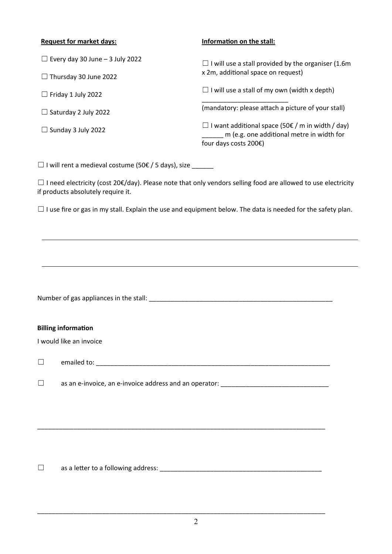# **Request for market days:**

| $\Box$ Every day 30 June – 3 July 2022 | $\Box$ I will use a stall provided by the organiser (1.6m                                                                                    |  |
|----------------------------------------|----------------------------------------------------------------------------------------------------------------------------------------------|--|
| $\Box$ Thursday 30 June 2022           | x 2m, additional space on request)                                                                                                           |  |
| $\Box$ Friday 1 July 2022              | $\Box$ I will use a stall of my own (width x depth)                                                                                          |  |
| $\Box$ Saturday 2 July 2022            | (mandatory: please attach a picture of your stall)                                                                                           |  |
| $\Box$ Sunday 3 July 2022              | □ I want additional space (50 $\epsilon$ / m in width / day)<br>m (e.g. one additional metre in width for<br>four days costs $200\epsilon$ ) |  |
|                                        |                                                                                                                                              |  |

**Information on the stall:**

 $\Box$  I will rent a medieval costume (50€ / 5 days), size \_\_\_\_\_\_

☐ I need electricity (cost 20€/day). Please note that only vendors selling food are allowed to use electricity if products absolutely require it.

☐ I use fire or gas in my stall. Explain the use and equipment below. The data is needed for the safety plan.

|        | <b>Billing information</b><br>I would like an invoice                                                            |  |  |  |
|--------|------------------------------------------------------------------------------------------------------------------|--|--|--|
| $\Box$ |                                                                                                                  |  |  |  |
| $\Box$ | as an e-invoice, an e-invoice address and an operator: and a state of the state of the state of the state of the |  |  |  |
|        |                                                                                                                  |  |  |  |

\_\_\_\_\_\_\_\_\_\_\_\_\_\_\_\_\_\_\_\_\_\_\_\_\_\_\_\_\_\_\_\_\_\_\_\_\_\_\_\_\_\_\_\_\_\_\_\_\_\_\_\_\_\_\_\_\_\_\_\_\_\_\_\_\_\_\_\_\_\_\_\_\_\_\_\_\_\_\_\_

\_\_\_\_\_\_\_\_\_\_\_\_\_\_\_\_\_\_\_\_\_\_\_\_\_\_\_\_\_\_\_\_\_\_\_\_\_\_\_\_\_\_\_\_\_\_\_\_\_\_\_\_\_\_\_\_\_\_\_\_\_\_\_\_\_\_\_\_\_\_\_\_\_\_\_\_\_\_\_\_

☐ as a letter to a following address: \_\_\_\_\_\_\_\_\_\_\_\_\_\_\_\_\_\_\_\_\_\_\_\_\_\_\_\_\_\_\_\_\_\_\_\_\_\_\_\_\_\_\_\_\_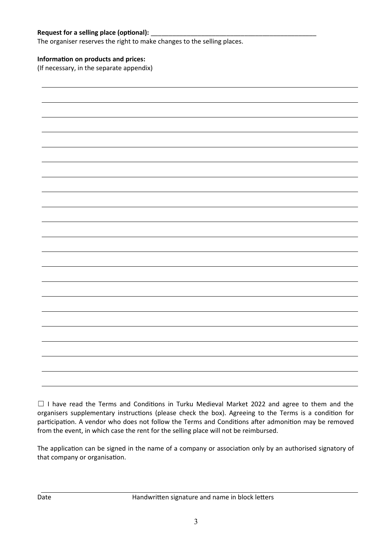## Request for a selling place (optional):

The organiser reserves the right to make changes to the selling places.

## **Information on products and prices:**

(If necessary, in the separate appendix)

□ I have read the Terms and Conditions in Turku Medieval Market 2022 and agree to them and the organisers supplementary instructions (please check the box). Agreeing to the Terms is a condition for participation. A vendor who does not follow the Terms and Conditions after admonition may be removed from the event, in which case the rent for the selling place will not be reimbursed.

The application can be signed in the name of a company or association only by an authorised signatory of that company or organisation.

Date **Handwritten signature and name in block letters**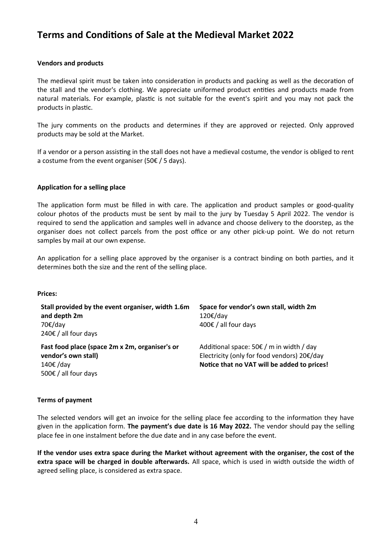# **Terms and Conditions of Sale at the Medieval Market 2022**

## **Vendors and products**

The medieval spirit must be taken into consideration in products and packing as well as the decoration of the stall and the vendor's clothing. We appreciate uniformed product entities and products made from natural materials. For example, plastic is not suitable for the event's spirit and you may not pack the products in plastic.

The jury comments on the products and determines if they are approved or rejected. Only approved products may be sold at the Market.

If a vendor or a person assisting in the stall does not have a medieval costume, the vendor is obliged to rent a costume from the event organiser (50 $\epsilon$  / 5 days).

#### **Application for a selling place**

The application form must be filled in with care. The application and product samples or good-quality colour photos of the products must be sent by mail to the jury by Tuesday 5 April 2022. The vendor is required to send the application and samples well in advance and choose delivery to the doorstep, as the organiser does not collect parcels from the post office or any other pick-up point. We do not return samples by mail at our own expense.

An application for a selling place approved by the organiser is a contract binding on both parties, and it determines both the size and the rent of the selling place.

#### **Prices:**

| Stall provided by the event organiser, width 1.6m<br>and depth 2m<br>70€/day<br>240€ / all four days                | Space for vendor's own stall, width 2m<br>120€/day<br>400€ / all four days                                                                            |
|---------------------------------------------------------------------------------------------------------------------|-------------------------------------------------------------------------------------------------------------------------------------------------------|
| Fast food place (space 2m x 2m, organiser's or<br>vendor's own stall)<br>140€/day<br>500 $\epsilon$ / all four days | Additional space: $50 \in \mathcal{F}$ m in width / day<br>Electricity (only for food vendors) 20€/day<br>Notice that no VAT will be added to prices! |

#### **Terms of payment**

The selected vendors will get an invoice for the selling place fee according to the information they have given in the application form. **The payment's due date is 16 May 2022.** The vendor should pay the selling place fee in one instalment before the due date and in any case before the event.

**If the vendor uses extra space during the Market without agreement with the organiser, the cost of the extra space will be charged in double afterwards.** All space, which is used in width outside the width of agreed selling place, is considered as extra space.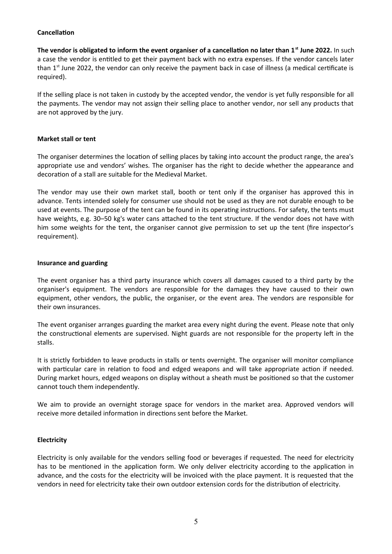## **Cancellation**

**The vendor is obligated to inform the event organiser of a cancellation no later than 1st June 2022.** In such a case the vendor is entitled to get their payment back with no extra expenses. If the vendor cancels later than  $1<sup>st</sup>$  June 2022, the vendor can only receive the payment back in case of illness (a medical certificate is required).

If the selling place is not taken in custody by the accepted vendor, the vendor is yet fully responsible for all the payments. The vendor may not assign their selling place to another vendor, nor sell any products that are not approved by the jury.

## **Market stall or tent**

The organiser determines the location of selling places by taking into account the product range, the area's appropriate use and vendors' wishes. The organiser has the right to decide whether the appearance and decoration of a stall are suitable for the Medieval Market.

The vendor may use their own market stall, booth or tent only if the organiser has approved this in advance. Tents intended solely for consumer use should not be used as they are not durable enough to be used at events. The purpose of the tent can be found in its operating instructions. For safety, the tents must have weights, e.g. 30–50 kg's water cans attached to the tent structure. If the vendor does not have with him some weights for the tent, the organiser cannot give permission to set up the tent (fire inspector's requirement).

## **Insurance and guarding**

The event organiser has a third party insurance which covers all damages caused to a third party by the organiser's equipment. The vendors are responsible for the damages they have caused to their own equipment, other vendors, the public, the organiser, or the event area. The vendors are responsible for their own insurances.

The event organiser arranges guarding the market area every night during the event. Please note that only the constructional elements are supervised. Night guards are not responsible for the property left in the stalls.

It is strictly forbidden to leave products in stalls or tents overnight. The organiser will monitor compliance with particular care in relation to food and edged weapons and will take appropriate action if needed. During market hours, edged weapons on display without a sheath must be positioned so that the customer cannot touch them independently.

We aim to provide an overnight storage space for vendors in the market area. Approved vendors will receive more detailed information in directions sent before the Market.

# **Electricity**

Electricity is only available for the vendors selling food or beverages if requested. The need for electricity has to be mentioned in the application form. We only deliver electricity according to the application in advance, and the costs for the electricity will be invoiced with the place payment. It is requested that the vendors in need for electricity take their own outdoor extension cords for the distribution of electricity.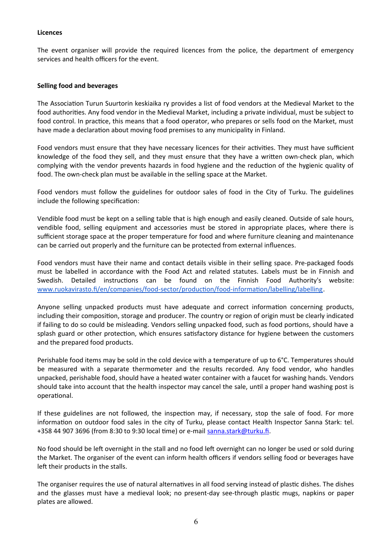#### **Licences**

The event organiser will provide the required licences from the police, the department of emergency services and health officers for the event.

#### **Selling food and beverages**

The Association Turun Suurtorin keskiaika ry provides a list of food vendors at the Medieval Market to the food authorities. Any food vendor in the Medieval Market, including a private individual, must be subject to food control. In practice, this means that a food operator, who prepares or sells food on the Market, must have made a declaration about moving food premises to any municipality in Finland.

Food vendors must ensure that they have necessary licences for their activities. They must have sufficient knowledge of the food they sell, and they must ensure that they have a written own-check plan, which complying with the vendor prevents hazards in food hygiene and the reduction of the hygienic quality of food. The own-check plan must be available in the selling space at the Market.

Food vendors must follow the guidelines for outdoor sales of food in the City of Turku. The guidelines include the following specification:

Vendible food must be kept on a selling table that is high enough and easily cleaned. Outside of sale hours, vendible food, selling equipment and accessories must be stored in appropriate places, where there is sufficient storage space at the proper temperature for food and where furniture cleaning and maintenance can be carried out properly and the furniture can be protected from external influences.

Food vendors must have their name and contact details visible in their selling space. Pre-packaged foods must be labelled in accordance with the Food Act and related statutes. Labels must be in Finnish and Swedish. Detailed instructions can be found on the Finnish Food Authority's website: www.ruokavirasto.fi/en/companies/food-sector/production/food-information/labelling/labelling.

Anyone selling unpacked products must have adequate and correct information concerning products, including their composition, storage and producer. The country or region of origin must be clearly indicated if failing to do so could be misleading. Vendors selling unpacked food, such as food portions, should have a splash guard or other protection, which ensures satisfactory distance for hygiene between the customers and the prepared food products.

Perishable food items may be sold in the cold device with a temperature of up to 6°C. Temperatures should be measured with a separate thermometer and the results recorded. Any food vendor, who handles unpacked, perishable food, should have a heated water container with a faucet for washing hands. Vendors should take into account that the health inspector may cancel the sale, until a proper hand washing post is operational.

If these guidelines are not followed, the inspection may, if necessary, stop the sale of food. For more information on outdoor food sales in the city of Turku, please contact Health Inspector Sanna Stark: tel. +358 44 907 3696 (from 8:30 to 9:30 local time) or e-mail sanna.stark@turku.fi.

No food should be left overnight in the stall and no food left overnight can no longer be used or sold during the Market. The organiser of the event can inform health officers if vendors selling food or beverages have left their products in the stalls.

The organiser requires the use of natural alternatives in all food serving instead of plastic dishes. The dishes and the glasses must have a medieval look; no present-day see-through plastic mugs, napkins or paper plates are allowed.